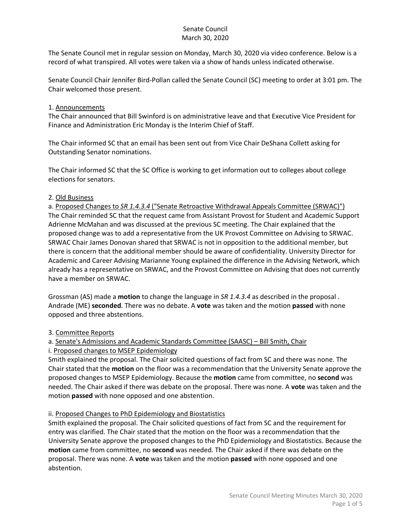The Senate Council met in regular session on Monday, March 30, 2020 via video conference. Below is a record of what transpired. All votes were taken via a show of hands unless indicated otherwise.

Senate Council Chair Jennifer Bird-Pollan called the Senate Council (SC) meeting to order at 3:01 pm. The Chair welcomed those present.

#### 1. Announcements

The Chair announced that Bill Swinford is on administrative leave and that Executive Vice President for Finance and Administration Eric Monday is the Interim Chief of Staff.

The Chair informed SC that an email has been sent out from Vice Chair DeShana Collett asking for Outstanding Senator nominations.

The Chair informed SC that the SC Office is working to get information out to colleges about college elections for senators.

## 2. Old Business

a. Proposed Changes to *SR 1.4.3.4* ("Senate Retroactive Withdrawal Appeals Committee (SRWAC)") The Chair reminded SC that the request came from Assistant Provost for Student and Academic Support Adrienne McMahan and was discussed at the previous SC meeting. The Chair explained that the proposed change was to add a representative from the UK Provost Committee on Advising to SRWAC. SRWAC Chair James Donovan shared that SRWAC is not in opposition to the additional member, but there is concern that the additional member should be aware of confidentiality. University Director for Academic and Career Advising Marianne Young explained the difference in the Advising Network, which already has a representative on SRWAC, and the Provost Committee on Advising that does not currently have a member on SRWAC.

Grossman (AS) made a **motion** to change the language in *SR 1.4.3.4* as described in the proposal . Andrade (ME) **seconded**. There was no debate. A **vote** was taken and the motion **passed** with none opposed and three abstentions.

## 3. Committee Reports

a. Senate's Admissions and Academic Standards Committee (SAASC) – Bill Smith, Chair

i. Proposed changes to MSEP Epidemiology

Smith explained the proposal. The Chair solicited questions of fact from SC and there was none. The Chair stated that the **motion** on the floor was a recommendation that the University Senate approve the proposed changes to MSEP Epidemiology. Because the **motion** came from committee, no **second** was needed. The Chair asked if there was debate on the proposal. There was none. A **vote** was taken and the motion **passed** with none opposed and one abstention.

#### ii. Proposed Changes to PhD Epidemiology and Biostatistics

Smith explained the proposal. The Chair solicited questions of fact from SC and the requirement for entry was clarified. The Chair stated that the motion on the floor was a recommendation that the University Senate approve the proposed changes to the PhD Epidemiology and Biostatistics. Because the **motion** came from committee, no **second** was needed. The Chair asked if there was debate on the proposal. There was none. A **vote** was taken and the motion **passed** with none opposed and one abstention.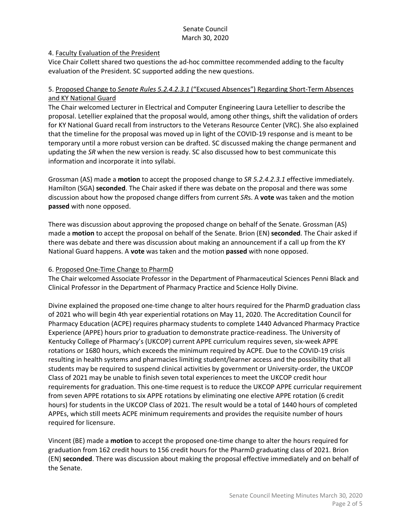#### 4. Faculty Evaluation of the President

Vice Chair Collett shared two questions the ad-hoc committee recommended adding to the faculty evaluation of the President. SC supported adding the new questions.

#### 5. Proposed Change to *Senate Rules 5.2.4.2.3.1* ("Excused Absences") Regarding Short-Term Absences and KY National Guard

The Chair welcomed Lecturer in Electrical and Computer Engineering Laura Letellier to describe the proposal. Letellier explained that the proposal would, among other things, shift the validation of orders for KY National Guard recall from instructors to the Veterans Resource Center (VRC). She also explained that the timeline for the proposal was moved up in light of the COVID-19 response and is meant to be temporary until a more robust version can be drafted. SC discussed making the change permanent and updating the *SR* when the new version is ready. SC also discussed how to best communicate this information and incorporate it into syllabi.

Grossman (AS) made a **motion** to accept the proposed change to *SR 5.2.4.2.3.1* effective immediately. Hamilton (SGA) **seconded**. The Chair asked if there was debate on the proposal and there was some discussion about how the proposed change differs from current *SR*s. A **vote** was taken and the motion **passed** with none opposed.

There was discussion about approving the proposed change on behalf of the Senate. Grossman (AS) made a **motion** to accept the proposal on behalf of the Senate. Brion (EN) **seconded**. The Chair asked if there was debate and there was discussion about making an announcement if a call up from the KY National Guard happens. A **vote** was taken and the motion **passed** with none opposed.

## 6. Proposed One-Time Change to PharmD

The Chair welcomed Associate Professor in the Department of Pharmaceutical Sciences Penni Black and Clinical Professor in the Department of Pharmacy Practice and Science Holly Divine.

Divine explained the proposed one-time change to alter hours required for the PharmD graduation class of 2021 who will begin 4th year experiential rotations on May 11, 2020. The Accreditation Council for Pharmacy Education (ACPE) requires pharmacy students to complete 1440 Advanced Pharmacy Practice Experience (APPE) hours prior to graduation to demonstrate practice-readiness. The University of Kentucky College of Pharmacy's (UKCOP) current APPE curriculum requires seven, six-week APPE rotations or 1680 hours, which exceeds the minimum required by ACPE. Due to the COVID-19 crisis resulting in health systems and pharmacies limiting student/learner access and the possibility that all students may be required to suspend clinical activities by government or University-order, the UKCOP Class of 2021 may be unable to finish seven total experiences to meet the UKCOP credit hour requirements for graduation. This one-time request is to reduce the UKCOP APPE curricular requirement from seven APPE rotations to six APPE rotations by eliminating one elective APPE rotation (6 credit hours) for students in the UKCOP Class of 2021. The result would be a total of 1440 hours of completed APPEs, which still meets ACPE minimum requirements and provides the requisite number of hours required for licensure.

Vincent (BE) made a **motion** to accept the proposed one-time change to alter the hours required for graduation from 162 credit hours to 156 credit hours for the PharmD graduating class of 2021. Brion (EN) **seconded**. There was discussion about making the proposal effective immediately and on behalf of the Senate.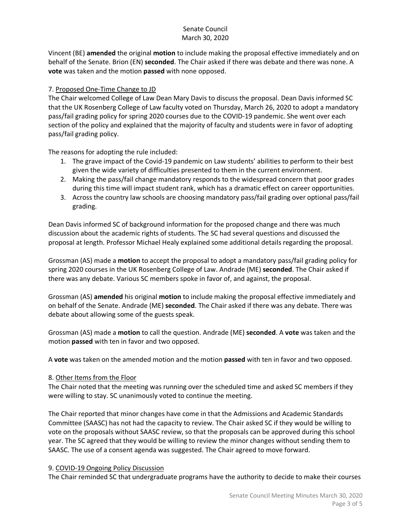Vincent (BE) **amended** the original **motion** to include making the proposal effective immediately and on behalf of the Senate. Brion (EN) **seconded**. The Chair asked if there was debate and there was none. A **vote** was taken and the motion **passed** with none opposed.

## 7. Proposed One-Time Change to JD

The Chair welcomed College of Law Dean Mary Davis to discuss the proposal. Dean Davis informed SC that the UK Rosenberg College of Law faculty voted on Thursday, March 26, 2020 to adopt a mandatory pass/fail grading policy for spring 2020 courses due to the COVID-19 pandemic. She went over each section of the policy and explained that the majority of faculty and students were in favor of adopting pass/fail grading policy.

The reasons for adopting the rule included:

- 1. The grave impact of the Covid-19 pandemic on Law students' abilities to perform to their best given the wide variety of difficulties presented to them in the current environment.
- 2. Making the pass/fail change mandatory responds to the widespread concern that poor grades during this time will impact student rank, which has a dramatic effect on career opportunities.
- 3. Across the country law schools are choosing mandatory pass/fail grading over optional pass/fail grading.

Dean Davis informed SC of background information for the proposed change and there was much discussion about the academic rights of students. The SC had several questions and discussed the proposal at length. Professor Michael Healy explained some additional details regarding the proposal.

Grossman (AS) made a **motion** to accept the proposal to adopt a mandatory pass/fail grading policy for spring 2020 courses in the UK Rosenberg College of Law. Andrade (ME) **seconded**. The Chair asked if there was any debate. Various SC members spoke in favor of, and against, the proposal.

Grossman (AS) **amended** his original **motion** to include making the proposal effective immediately and on behalf of the Senate. Andrade (ME) **seconded**. The Chair asked if there was any debate. There was debate about allowing some of the guests speak.

Grossman (AS) made a **motion** to call the question. Andrade (ME) **seconded**. A **vote** was taken and the motion **passed** with ten in favor and two opposed.

A **vote** was taken on the amended motion and the motion **passed** with ten in favor and two opposed.

## 8. Other Items from the Floor

The Chair noted that the meeting was running over the scheduled time and asked SC members if they were willing to stay. SC unanimously voted to continue the meeting.

The Chair reported that minor changes have come in that the Admissions and Academic Standards Committee (SAASC) has not had the capacity to review. The Chair asked SC if they would be willing to vote on the proposals without SAASC review, so that the proposals can be approved during this school year. The SC agreed that they would be willing to review the minor changes without sending them to SAASC. The use of a consent agenda was suggested. The Chair agreed to move forward.

## 9. COVID-19 Ongoing Policy Discussion

The Chair reminded SC that undergraduate programs have the authority to decide to make their courses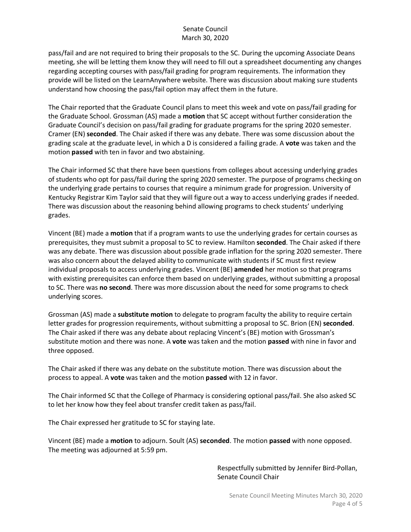pass/fail and are not required to bring their proposals to the SC. During the upcoming Associate Deans meeting, she will be letting them know they will need to fill out a spreadsheet documenting any changes regarding accepting courses with pass/fail grading for program requirements. The information they provide will be listed on the LearnAnywhere website. There was discussion about making sure students understand how choosing the pass/fail option may affect them in the future.

The Chair reported that the Graduate Council plans to meet this week and vote on pass/fail grading for the Graduate School. Grossman (AS) made a **motion** that SC accept without further consideration the Graduate Council's decision on pass/fail grading for graduate programs for the spring 2020 semester. Cramer (EN) **seconded**. The Chair asked if there was any debate. There was some discussion about the grading scale at the graduate level, in which a D is considered a failing grade. A **vote** was taken and the motion **passed** with ten in favor and two abstaining.

The Chair informed SC that there have been questions from colleges about accessing underlying grades of students who opt for pass/fail during the spring 2020 semester. The purpose of programs checking on the underlying grade pertains to courses that require a minimum grade for progression. University of Kentucky Registrar Kim Taylor said that they will figure out a way to access underlying grades if needed. There was discussion about the reasoning behind allowing programs to check students' underlying grades.

Vincent (BE) made a **motion** that if a program wants to use the underlying grades for certain courses as prerequisites, they must submit a proposal to SC to review. Hamilton **seconded**. The Chair asked if there was any debate. There was discussion about possible grade inflation for the spring 2020 semester. There was also concern about the delayed ability to communicate with students if SC must first review individual proposals to access underlying grades. Vincent (BE) **amended** her motion so that programs with existing prerequisites can enforce them based on underlying grades, without submitting a proposal to SC. There was **no second**. There was more discussion about the need for some programs to check underlying scores.

Grossman (AS) made a **substitute motion** to delegate to program faculty the ability to require certain letter grades for progression requirements, without submitting a proposal to SC. Brion (EN) **seconded**. The Chair asked if there was any debate about replacing Vincent's (BE) motion with Grossman's substitute motion and there was none. A **vote** was taken and the motion **passed** with nine in favor and three opposed.

The Chair asked if there was any debate on the substitute motion. There was discussion about the process to appeal. A **vote** was taken and the motion **passed** with 12 in favor.

The Chair informed SC that the College of Pharmacy is considering optional pass/fail. She also asked SC to let her know how they feel about transfer credit taken as pass/fail.

The Chair expressed her gratitude to SC for staying late.

Vincent (BE) made a **motion** to adjourn. Soult (AS) **seconded**. The motion **passed** with none opposed. The meeting was adjourned at 5:59 pm.

> Respectfully submitted by Jennifer Bird-Pollan, Senate Council Chair